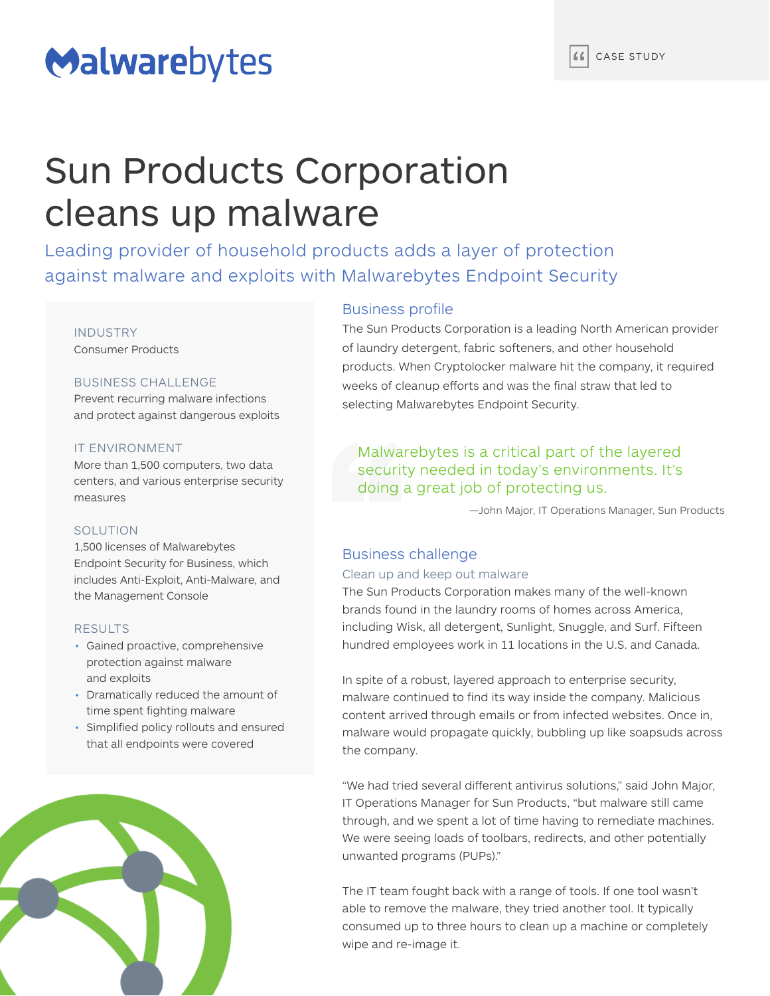# Malwarebytes

## Sun Products Corporation cleans up malware

Leading provider of household products adds a layer of protection against malware and exploits with Malwarebytes Endpoint Security

#### INDUSTRY Consumer Products

## BUSINESS CHALLENGE

Prevent recurring malware infections and protect against dangerous exploits

### IT ENVIRONMENT

More than 1,500 computers, two data centers, and various enterprise security measures

## **SOLUTION**

1,500 licenses of Malwarebytes Endpoint Security for Business, which includes Anti-Exploit, Anti-Malware, and the Management Console

## RESULTS

- Gained proactive, comprehensive protection against malware and exploits
- Dramatically reduced the amount of time spent fighting malware
- Simplified policy rollouts and ensured that all endpoints were covered



## Business profile

The Sun Products Corporation is a leading North American provider of laundry detergent, fabric softeners, and other household products. When Cryptolocker malware hit the company, it required weeks of cleanup efforts and was the final straw that led to selecting Malwarebytes Endpoint Security.

## Malwarebytes is a critical part of the layered security needed in today's environments. It's doing a great job of protecting us.

—John Major, IT Operations Manager, Sun Products

## Business challenge

## Clean up and keep out malware

The Sun Products Corporation makes many of the well-known brands found in the laundry rooms of homes across America, including Wisk, all detergent, Sunlight, Snuggle, and Surf. Fifteen hundred employees work in 11 locations in the U.S. and Canada.

In spite of a robust, layered approach to enterprise security, malware continued to find its way inside the company. Malicious content arrived through emails or from infected websites. Once in, malware would propagate quickly, bubbling up like soapsuds across the company.

"We had tried several different antivirus solutions," said John Major, IT Operations Manager for Sun Products, "but malware still came through, and we spent a lot of time having to remediate machines. We were seeing loads of toolbars, redirects, and other potentially unwanted programs (PUPs)."

The IT team fought back with a range of tools. If one tool wasn't able to remove the malware, they tried another tool. It typically consumed up to three hours to clean up a machine or completely wipe and re-image it.